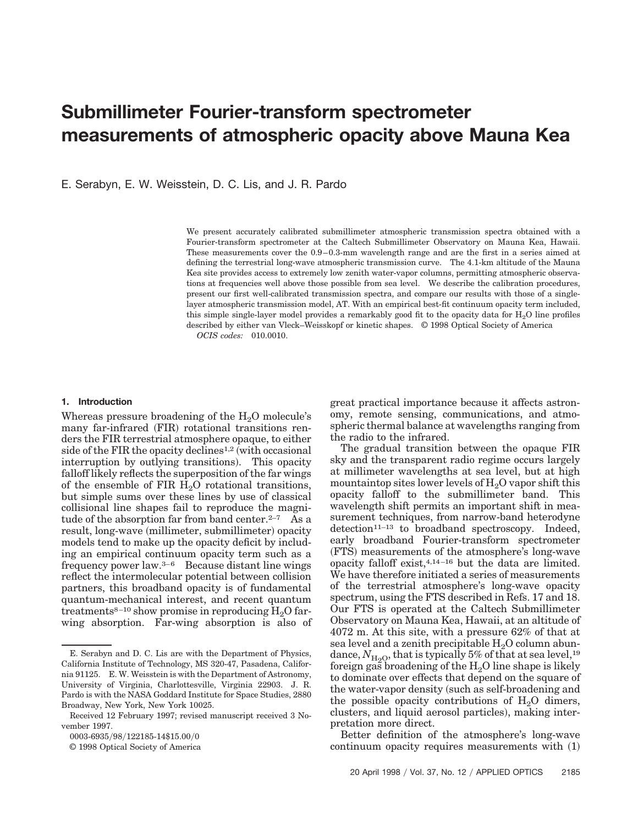# **Submillimeter Fourier-transform spectrometer measurements of atmospheric opacity above Mauna Kea**

E. Serabyn, E. W. Weisstein, D. C. Lis, and J. R. Pardo

We present accurately calibrated submillimeter atmospheric transmission spectra obtained with a Fourier-transform spectrometer at the Caltech Submillimeter Observatory on Mauna Kea, Hawaii. These measurements cover the 0.9–0.3-mm wavelength range and are the first in a series aimed at defining the terrestrial long-wave atmospheric transmission curve. The 4.1-km altitude of the Mauna Kea site provides access to extremely low zenith water-vapor columns, permitting atmospheric observations at frequencies well above those possible from sea level. We describe the calibration procedures, present our first well-calibrated transmission spectra, and compare our results with those of a singlelayer atmospheric transmission model, AT. With an empirical best-fit continuum opacity term included, this simple single-layer model provides a remarkably good fit to the opacity data for  $H_2O$  line profiles described by either van Vleck–Weisskopf or kinetic shapes. © 1998 Optical Society of America *OCIS codes:* 010.0010.

## **1. Introduction**

Whereas pressure broadening of the  $H<sub>2</sub>O$  molecule's many far-infrared (FIR) rotational transitions renders the FIR terrestrial atmosphere opaque, to either side of the FIR the opacity declines<sup>1,2</sup> (with occasional interruption by outlying transitions). This opacity falloff likely reflects the superposition of the far wings of the ensemble of FIR  $H<sub>2</sub>O$  rotational transitions, but simple sums over these lines by use of classical collisional line shapes fail to reproduce the magnitude of the absorption far from band center.  $2-7$  As a result, long-wave (millimeter, submillimeter) opacity models tend to make up the opacity deficit by including an empirical continuum opacity term such as a frequency power law.3–6 Because distant line wings reflect the intermolecular potential between collision partners, this broadband opacity is of fundamental quantum-mechanical interest, and recent quantum treatments<sup>8-10</sup> show promise in reproducing  $H_2O$  farwing absorption. Far-wing absorption is also of great practical importance because it affects astronomy, remote sensing, communications, and atmospheric thermal balance at wavelengths ranging from the radio to the infrared.

The gradual transition between the opaque FIR sky and the transparent radio regime occurs largely at millimeter wavelengths at sea level, but at high mountaintop sites lower levels of  $H<sub>2</sub>O$  vapor shift this opacity falloff to the submillimeter band. This wavelength shift permits an important shift in measurement techniques, from narrow-band heterodyne detection<sup>11-13</sup> to broadband spectroscopy. Indeed, early broadband Fourier-transform spectrometer ~FTS! measurements of the atmosphere's long-wave opacity falloff exist,4,14–16 but the data are limited. We have therefore initiated a series of measurements of the terrestrial atmosphere's long-wave opacity spectrum, using the FTS described in Refs. 17 and 18. Our FTS is operated at the Caltech Submillimeter Observatory on Mauna Kea, Hawaii, at an altitude of 4072 m. At this site, with a pressure 62% of that at sea level and a zenith precipitable  $H<sub>2</sub>O$  column abundance,  $N_{\text{H}_2\text{O}}$ , that is typically 5% of that at sea level,<sup>19</sup> foreign gas broadening of the  $H_2O$  line shape is likely to dominate over effects that depend on the square of the water-vapor density (such as self-broadening and the possible opacity contributions of  $H<sub>2</sub>O$  dimers, clusters, and liquid aerosol particles), making interpretation more direct.

Better definition of the atmosphere's long-wave continuum opacity requires measurements with  $(1)$ 

E. Serabyn and D. C. Lis are with the Department of Physics, California Institute of Technology, MS 320-47, Pasadena, California 91125. E. W. Weisstein is with the Department of Astronomy, University of Virginia, Charlottesville, Virginia 22903. J. R. Pardo is with the NASA Goddard Institute for Space Studies, 2880 Broadway, New York, New York 10025.

Received 12 February 1997; revised manuscript received 3 November 1997.

<sup>0003-6935/98/122185-14\$15.00/0</sup> 

<sup>© 1998</sup> Optical Society of America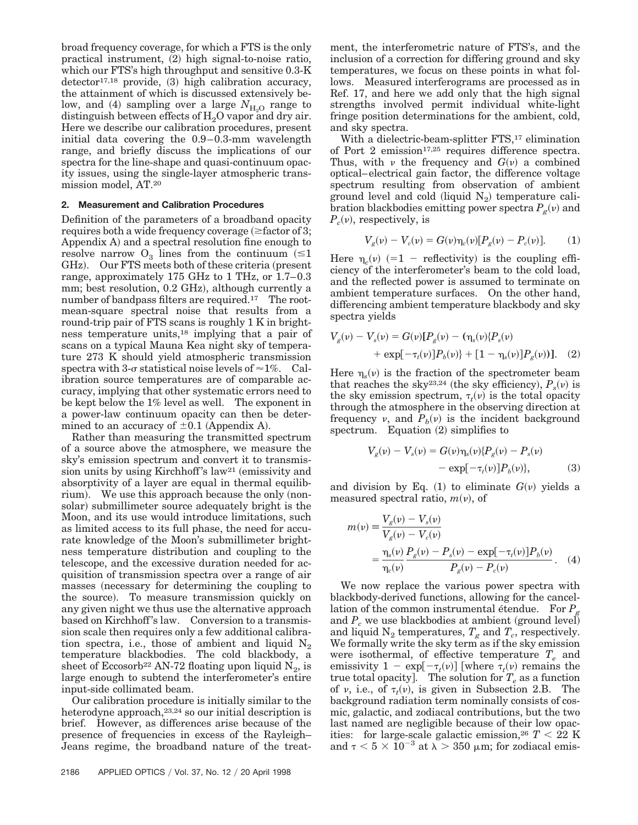broad frequency coverage, for which a FTS is the only practical instrument,  $(2)$  high signal-to-noise ratio, which our FTS's high throughput and sensitive 0.3-K  $\text{detector}^{17,18}$  provide, (3) high calibration accuracy, the attainment of which is discussed extensively below, and  $(4)$  sampling over a large  $N_{H_2O}$  range to distinguish between effects of  $H_2O$  vapor and dry air. Here we describe our calibration procedures, present initial data covering the 0.9–0.3-mm wavelength range, and briefly discuss the implications of our spectra for the line-shape and quasi-continuum opacity issues, using the single-layer atmospheric transmission model, AT.20

#### **2. Measurement and Calibration Procedures**

Definition of the parameters of a broadband opacity requires both a wide frequency coverage  $(\geq$  factor of 3; Appendix  $A$ ) and a spectral resolution fine enough to resolve narrow  $O_3$  lines from the continuum ( $\leq 1$ )  $GHz$ ). Our FTS meets both of these criteria (present range, approximately 175 GHz to 1 THz, or 1.7–0.3 mm; best resolution, 0.2 GHz), although currently a number of bandpass filters are required.<sup>17</sup> The rootmean-square spectral noise that results from a round-trip pair of FTS scans is roughly 1 K in brightness temperature units,18 implying that a pair of scans on a typical Mauna Kea night sky of temperature 273 K should yield atmospheric transmission spectra with 3- $\sigma$  statistical noise levels of  $\approx$ 1%. Calibration source temperatures are of comparable accuracy, implying that other systematic errors need to be kept below the 1% level as well. The exponent in a power-law continuum opacity can then be determined to an accuracy of  $\pm 0.1$  (Appendix A).

Rather than measuring the transmitted spectrum of a source above the atmosphere, we measure the sky's emission spectrum and convert it to transmission units by using Kirchhoff's law<sup>21</sup> (emissivity and absorptivity of a layer are equal in thermal equilibrium). We use this approach because the only  $(non$ solar) submillimeter source adequately bright is the Moon, and its use would introduce limitations, such as limited access to its full phase, the need for accurate knowledge of the Moon's submillimeter brightness temperature distribution and coupling to the telescope, and the excessive duration needed for acquisition of transmission spectra over a range of air masses (necessary for determining the coupling to the source). To measure transmission quickly on any given night we thus use the alternative approach based on Kirchhoff 's law. Conversion to a transmission scale then requires only a few additional calibration spectra, i.e., those of ambient and liquid  $N_2$ temperature blackbodies. The cold blackbody, a sheet of Eccosorb<sup>22</sup> AN-72 floating upon liquid  $N_2$ , is large enough to subtend the interferometer's entire input-side collimated beam.

Our calibration procedure is initially similar to the heterodyne approach,23,24 so our initial description is brief. However, as differences arise because of the presence of frequencies in excess of the Rayleigh– Jeans regime, the broadband nature of the treatment, the interferometric nature of FTS's, and the inclusion of a correction for differing ground and sky temperatures, we focus on these points in what follows. Measured interferograms are processed as in Ref. 17, and here we add only that the high signal strengths involved permit individual white-light fringe position determinations for the ambient, cold, and sky spectra.

With a dielectric-beam-splitter FTS,<sup>17</sup> elimination of Port 2 emission<sup>17,25</sup> requires difference spectra. Thus, with v the frequency and  $G(v)$  a combined optical–electrical gain factor, the difference voltage spectrum resulting from observation of ambient ground level and cold (liquid  $N_2$ ) temperature calibration blackbodies emitting power spectra  $P_g(v)$  and  $P_c(v)$ , respectively, is

$$
V_g(\nu) - V_c(\nu) = G(\nu)\eta_c(\nu)[P_g(\nu) - P_c(\nu)].
$$
 (1)

Here  $\eta_c(v)$  (=1 - reflectivity) is the coupling efficiency of the interferometer's beam to the cold load, and the reflected power is assumed to terminate on ambient temperature surfaces. On the other hand, differencing ambient temperature blackbody and sky spectra yields

$$
V_g(\nu) - V_s(\nu) = G(\nu)[P_g(\nu) - (\eta_s(\nu)\{P_s(\nu) + \exp[-\tau_t(\nu)]P_b(\nu)\} + [1 - \eta_s(\nu)]P_g(\nu))].
$$
 (2)

Here  $\eta_s(v)$  is the fraction of the spectrometer beam that reaches the sky<sup>23,24</sup> (the sky efficiency),  $P_s(v)$  is the sky emission spectrum,  $\tau_t(v)$  is the total opacity through the atmosphere in the observing direction at frequency v, and  $P_b(v)$  is the incident background spectrum. Equation  $(2)$  simplifies to

$$
V_g(\nu) - V_s(\nu) = G(\nu)\eta_s(\nu)\{P_g(\nu) - P_s(\nu) - \exp[-\tau_t(\nu)]P_b(\nu)\},
$$
\n(3)

and division by Eq.  $(1)$  to eliminate  $G(v)$  yields a measured spectral ratio,  $m(v)$ , of

$$
m(v) = \frac{V_g(v) - V_s(v)}{V_g(v) - V_c(v)}
$$
  
= 
$$
\frac{\eta_s(v)}{\eta_c(v)} \frac{P_g(v) - P_s(v) - \exp[-\tau_t(v)]P_b(v)}{P_g(v) - P_c(v)}.
$$
 (4)

We now replace the various power spectra with blackbody-derived functions, allowing for the cancellation of the common instrumental étendue. For  $P<sub>g</sub>$ and  $P_c$  we use blackbodies at ambient (ground level) and liquid  $N_2$  temperatures,  $T_g$  and  $T_c$ , respectively. We formally write the sky term as if the sky emission were isothermal, of effective temperature *Te* and emissivity  $1 - \exp[-\tau_t(\nu)]$  [where  $\tau_t(\nu)$  remains the true total opacity]. The solution for  $T_e$  as a function of v, i.e., of  $\tau_t(v)$ , is given in Subsection 2.B. The background radiation term nominally consists of cosmic, galactic, and zodiacal contributions, but the two last named are negligible because of their low opacities: for large-scale galactic emission,<sup>26</sup>  $T < 22$  K and  $\tau < 5 \times 10^{-3}$  at  $\lambda > 350$  µm; for zodiacal emis-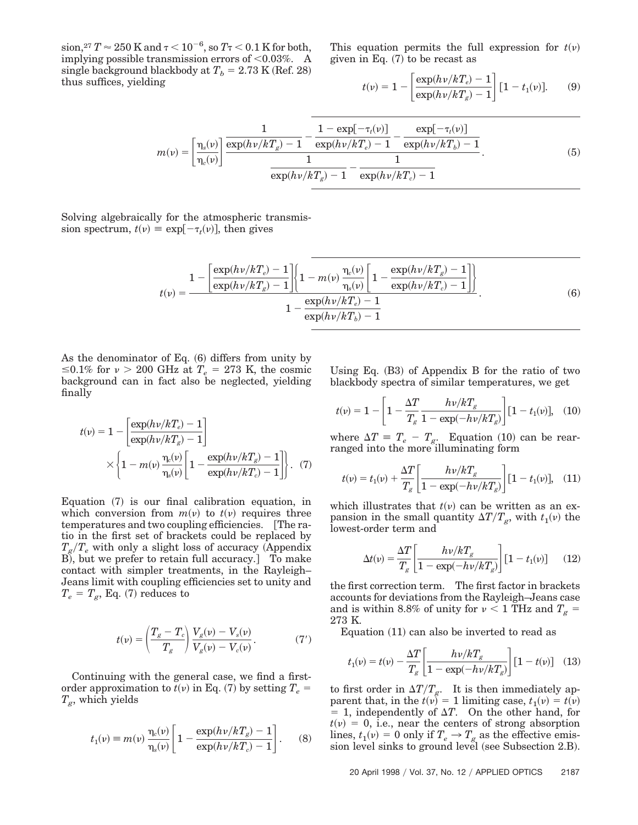$\sinh, ^{27}T \approx 250\,\mathrm{K}$  and  $\tau$  <  $10^{-6}, \mathrm{so} \, T$   $\tau$  <  $0.1\,\mathrm{K}$  for both, implying possible transmission errors of  $<$  0.03%. A single background blackbody at  $T_b = 2.73$  K (Ref. 28) thus suffices, yielding

This equation permits the full expression for  $t(v)$ given in Eq.  $(7)$  to be recast as

$$
t(\nu) = 1 - \left[ \frac{\exp(h\nu/kT_e) - 1}{\exp(h\nu/kT_g) - 1} \right] [1 - t_1(\nu)].
$$
 (9)

$$
m(\nu) = \left[\frac{\eta_s(\nu)}{\eta_c(\nu)}\right] \frac{\frac{1}{\exp(h\nu/kT_g) - 1} - \frac{1 - \exp[-\tau_t(\nu)]}{\exp(h\nu/kT_e) - 1} - \frac{\exp[-\tau_t(\nu)]}{\exp(h\nu/kT_b) - 1}}{\frac{1}{\exp(h\nu/kT_g) - 1} - \frac{1}{\exp(h\nu/kT_c) - 1}}.
$$
(5)

Solving algebraically for the atmospheric transmission spectrum,  $t(v) \equiv \exp[-\tau_t(v)]$ , then gives

$$
t(v) = \frac{1 - \left[\frac{\exp(hv/kT_e) - 1}{\exp(hv/kT_g) - 1}\right] \left\{1 - m(v)\frac{\eta_c(v)}{\eta_s(v)} \left[1 - \frac{\exp(hv/kT_g) - 1}{\exp(hv/kT_c) - 1}\right]\right\}}{1 - \frac{\exp(hv/kT_e) - 1}{\exp(hv/kT_b) - 1}}.
$$
(6)

As the denominator of Eq.  $(6)$  differs from unity by  $\leq 0.1\%$  for  $\nu > 200$  GHz at  $T_e = 273$  K, the cosmic background can in fact also be neglected, yielding finally

$$
t(\nu) = 1 - \left[ \frac{\exp(h\nu/kT_e) - 1}{\exp(h\nu/kT_g) - 1} \right]
$$

$$
\times \left\{ 1 - m(\nu) \frac{\eta_e(\nu)}{\eta_s(\nu)} \left[ 1 - \frac{\exp(h\nu/kT_g) - 1}{\exp(h\nu/kT_e) - 1} \right] \right\}.
$$
 (7)

Equation  $(7)$  is our final calibration equation, in which conversion from  $m(\nu)$  to  $t(\nu)$  requires three temperatures and two coupling efficiencies. [The ratio in the first set of brackets could be replaced by  $T_g/T_e$  with only a slight loss of accuracy (Appendix B), but we prefer to retain full accuracy. To make contact with simpler treatments, in the Rayleigh– Jeans limit with coupling efficiencies set to unity and  $T_e = T_g$ , Eq. (7) reduces to

$$
t(\nu) = \left(\frac{T_g - T_c}{T_g}\right) \frac{V_g(\nu) - V_s(\nu)}{V_g(\nu) - V_c(\nu)}.
$$
 (7')

Continuing with the general case, we find a firstorder approximation to  $t(v)$  in Eq. (7) by setting  $T_e$  = *Tg*, which yields

$$
t_1(\nu) \equiv m(\nu) \frac{\eta_e(\nu)}{\eta_s(\nu)} \left[ 1 - \frac{\exp(h\nu/kT_g) - 1}{\exp(h\nu/kT_c) - 1} \right].
$$
 (8)

Using Eq.  $(B3)$  of Appendix B for the ratio of two blackbody spectra of similar temperatures, we get

$$
t(\nu) = 1 - \left[1 - \frac{\Delta T}{T_g} \frac{h\nu/kT_g}{1 - \exp(-h\nu/kT_g)}\right] [1 - t_1(\nu)], \quad (10)
$$

where  $\Delta T \equiv T_e - T_g$ . Equation (10) can be rearranged into the more illuminating form

$$
t(v) = t_1(v) + \frac{\Delta T}{T_g} \left[ \frac{h v / k T_g}{1 - \exp(-h v / k T_g)} \right] [1 - t_1(v)], \quad (11)
$$

which illustrates that  $t(v)$  can be written as an expansion in the small quantity  $\Delta T/T_g$ , with  $t_1(v)$  the lowest-order term and

$$
\Delta t(v) = \frac{\Delta T}{T_g} \left[ \frac{h v / k T_g}{1 - \exp(-h v / k T_g)} \right] \left[ 1 - t_1(v) \right] \tag{12}
$$

the first correction term. The first factor in brackets accounts for deviations from the Rayleigh–Jeans case and is within 8.8% of unity for  $\nu < 1$  THz and  $T_g =$ 273 K.

Equation  $(11)$  can also be inverted to read as

$$
t_1(\nu) = t(\nu) - \frac{\Delta T}{T_g} \left[ \frac{h\nu/kT_g}{1 - \exp(-h\nu/kT_g)} \right] \left[ 1 - t(\nu) \right] \tag{13}
$$

to first order in  $\Delta T/T_g$ . It is then immediately apparent that, in the  $t(v) = 1$  limiting case,  $t_1(v) = t(v)$  $= 1$ , independently of  $\Delta T$ . On the other hand, for  $t(v) = 0$ , i.e., near the centers of strong absorption lines,  $t_1(v) = 0$  only if  $T_e \rightarrow T_g$  as the effective emission level sinks to ground level (see Subsection 2.B).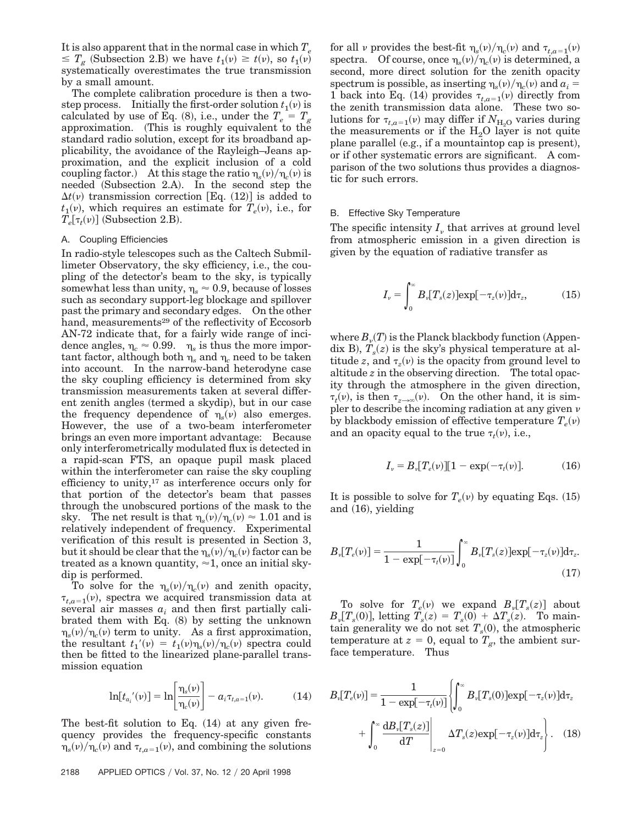It is also apparent that in the normal case in which  $T_e$  $\leq T_g$  (Subsection 2.B) we have  $t_1(v) \geq t(v)$ , so  $t_1(v)$ systematically overestimates the true transmission by a small amount.

The complete calibration procedure is then a twostep process. Initially the first-order solution  $t_1(v)$  is calculated by use of Eq. (8), i.e., under the  $T_e = T_g$ approximation. (This is roughly equivalent to the standard radio solution, except for its broadband applicability, the avoidance of the Rayleigh–Jeans approximation, and the explicit inclusion of a cold coupling factor.) At this stage the ratio  $\eta_s(v)/\eta_c(v)$  is needed  $(Subsection 2.A)$ . In the second step the  $\Delta t(v)$  transmission correction [Eq. (12)] is added to  $t_1(v)$ , which requires an estimate for  $T_e(v)$ , i.e., for  $T_e[\tau_t(\nu)]$  (Subsection 2.B).

## A. Coupling Efficiencies

In radio-style telescopes such as the Caltech Submillimeter Observatory, the sky efficiency, i.e., the coupling of the detector's beam to the sky, is typically somewhat less than unity,  $\eta_s \approx 0.9$ , because of losses such as secondary support-leg blockage and spillover past the primary and secondary edges. On the other hand, measurements<sup>29</sup> of the reflectivity of Eccosorb AN-72 indicate that, for a fairly wide range of incidence angles,  $\eta_c \approx 0.99$ .  $\eta_s$  is thus the more important factor, although both  $\eta_s$  and  $\eta_c$  need to be taken into account. In the narrow-band heterodyne case the sky coupling efficiency is determined from sky transmission measurements taken at several different zenith angles (termed a skydip), but in our case the frequency dependence of  $\eta_s(v)$  also emerges. However, the use of a two-beam interferometer brings an even more important advantage: Because only interferometrically modulated flux is detected in a rapid-scan FTS, an opaque pupil mask placed within the interferometer can raise the sky coupling efficiency to unity,<sup>17</sup> as interference occurs only for that portion of the detector's beam that passes through the unobscured portions of the mask to the sky. The net result is that  $\eta_s(v)/\eta_c(v) \approx 1.01$  and is relatively independent of frequency. Experimental verification of this result is presented in Section 3, but it should be clear that the  $\eta_s(\nu)/\eta_c(\nu)$  factor can be treated as a known quantity,  $\approx$  1, once an initial skydip is performed.

To solve for the  $\eta_s(v)/\eta_c(v)$  and zenith opacity,  $\tau_{t,a=1}(\nu)$ , spectra we acquired transmission data at several air masses  $a_i$  and then first partially calibrated them with Eq.  $(8)$  by setting the unknown  $\eta_s(\nu)/\eta_c(\nu)$  term to unity. As a first approximation, the resultant  $t_1'(v) = t_1(v)\eta_s(v)/\eta_c(v)$  spectra could then be fitted to the linearized plane-parallel transmission equation

$$
\ln[t_{a_i}'(\nu)] = \ln\left[\frac{\eta_s(\nu)}{\eta_c(\nu)}\right] - a_i \tau_{t, a=1}(\nu). \tag{14}
$$

The best-fit solution to Eq.  $(14)$  at any given frequency provides the frequency-specific constants  $\eta_s(\nu)/\eta_c(\nu)$  and  $\tau_{t,a=1}(\nu)$ , and combining the solutions

for all v provides the best-fit  $\eta_s(v)/\eta_c(v)$  and  $\tau_{t,a=1}(v)$ spectra. Of course, once  $\eta_s(v)/\eta_c(v)$  is determined, a second, more direct solution for the zenith opacity spectrum is possible, as inserting  $\eta_s(v)/\eta_c(v)$  and  $a_i =$ 1 back into Eq. (14) provides  $\tau_{t,a=1}(\nu)$  directly from the zenith transmission data alone. These two solutions for  $\tau_{t,a=1}(v)$  may differ if  $N_{\text{H}_2\text{O}}$  varies during the measurements or if the  $H_2O$  layer is not quite plane parallel  $(e.g., if a mountain top cap is present),$ or if other systematic errors are significant. A comparison of the two solutions thus provides a diagnostic for such errors.

#### B. Effective Sky Temperature

The specific intensity  $I_{\nu}$  that arrives at ground level from atmospheric emission in a given direction is given by the equation of radiative transfer as

$$
I_{\nu} = \int_0^{\infty} B_{\nu} [T_s(z)] \exp[-\tau_z(\nu)] d\tau_z,
$$
 (15)

where  $B_\nu(T)$  is the Planck blackbody function (Appendix B),  $T_s(z)$  is the sky's physical temperature at altitude *z*, and  $\tau_z(v)$  is the opacity from ground level to altitude *z* in the observing direction. The total opacity through the atmosphere in the given direction,  $\tau_t(\nu)$ , is then  $\tau_{z\to\infty}(\nu)$ . On the other hand, it is simpler to describe the incoming radiation at any given  $\nu$ by blackbody emission of effective temperature  $T_e(v)$ and an opacity equal to the true  $\tau_t(v)$ , i.e.,

$$
I_{\nu} = B_{\nu} [T_e(\nu)][1 - \exp(-\tau_t(\nu)]. \tag{16}
$$

It is possible to solve for  $T_e(v)$  by equating Eqs. (15) and  $(16)$ , yielding

$$
B_{\nu}[T_e(\nu)] = \frac{1}{1 - \exp[-\tau_t(\nu)]} \int_0^{\infty} B_{\nu}[T_s(z)] \exp[-\tau_z(\nu)] d\tau_z.
$$
\n(17)

To solve for  $T_e(v)$  we expand  $B_v[T_s(z)]$  about  $B_{\nu}[T_{s}(0)]$ , letting  $T_{s}(z) = T_{s}(0) + \Delta T_{s}(z)$ . To maintain generality we do not set  $T_s(0)$ , the atmospheric temperature at  $z = 0$ , equal to  $T_g$ , the ambient surface temperature. Thus

$$
B_{\nu}[T_e(\nu)] = \frac{1}{1 - \exp[-\tau_t(\nu)]} \left\{ \int_0^{\infty} B_{\nu}[T_s(0)] \exp[-\tau_z(\nu)] d\tau_z + \int_0^{\infty} \frac{d B_{\nu}[T_s(z)]}{dT} \Big|_{z=0} \Delta T_s(z) \exp[-\tau_z(\nu)] d\tau_z \right\}.
$$
 (18)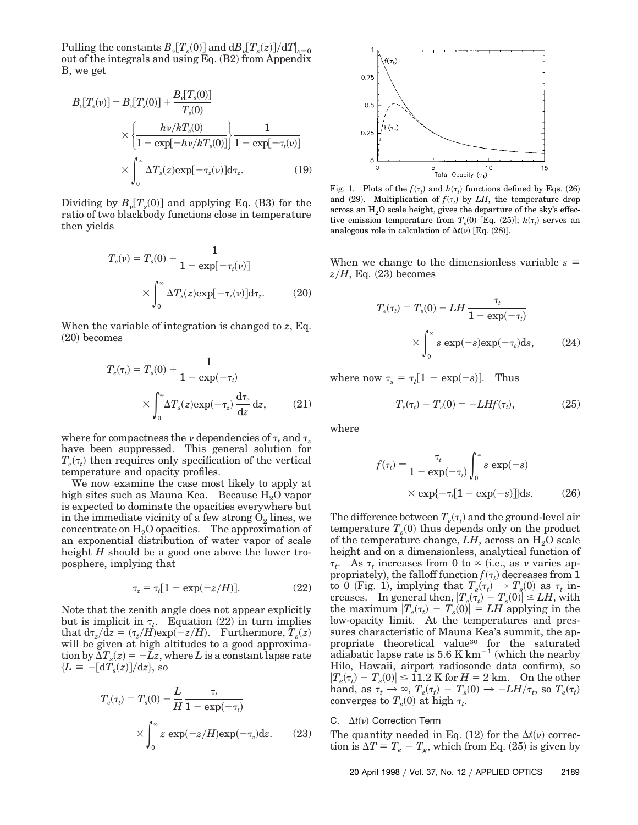$\text{Pulling the constants } B_{\nu} [ T_s(0) ] \text{ and } \text{d} B_{\nu} [ T_s(z) ] /\text{d} T |_{z=0}$ out of the integrals and using Eq.  $(B2)$  from Appendix B, we get

$$
B_{\nu}[T_e(\nu)] = B_{\nu}[T_s(0)] + \frac{B_{\nu}[T_s(0)]}{T_s(0)}
$$
  
 
$$
\times \left\{ \frac{h\nu/kT_s(0)}{1 - \exp[-h\nu/kT_s(0)]} \right\} \frac{1}{1 - \exp[-\tau_t(\nu)]}
$$
  
 
$$
\times \int_0^\infty \Delta T_s(z) \exp[-\tau_z(\nu)] d\tau_z.
$$
 (19)

Dividing by  $B_{\nu}[T_s(0)]$  and applying Eq. (B3) for the ratio of two blackbody functions close in temperature then yields

$$
T_e(\nu) = T_s(0) + \frac{1}{1 - \exp[-\tau_t(\nu)]}
$$

$$
\times \int_0^\infty \Delta T_s(z) \exp[-\tau_z(\nu)] d\tau_z.
$$
 (20)

When the variable of integration is changed to *z*, Eq.  $(20)$  becomes

$$
T_e(\tau_t) = T_s(0) + \frac{1}{1 - \exp(-\tau_t)}
$$

$$
\times \int_0^\infty \Delta T_s(z) \exp(-\tau_z) \frac{d\tau_z}{dz} dz, \qquad (21)
$$

where for compactness the  $\nu$  dependencies of  $\tau_t$  and  $\tau_z$ have been suppressed. This general solution for  $T_e(\tau_t)$  then requires only specification of the vertical temperature and opacity profiles.

We now examine the case most likely to apply at high sites such as Mauna Kea. Because  $H_2O$  vapor is expected to dominate the opacities everywhere but in the immediate vicinity of a few strong  $O_2$  lines, we concentrate on  $H_2O$  opacities. The approximation of an exponential distribution of water vapor of scale height *H* should be a good one above the lower troposphere, implying that

$$
\tau_z = \tau_t [1 - \exp(-z/H)]. \tag{22}
$$

Note that the zenith angle does not appear explicitly but is implicit in  $\tau_t$ . Equation (22) in turn implies that  $d\tau_z/dz = (\tau_t/H)exp(-z/H)$ . Furthermore,  $\hat{T}_s(z)$ will be given at high altitudes to a good approximation by  $\Delta T_s(z) = -Lz$ , where *L* is a constant lapse rate  ${L = -\left[\frac{d\tilde{T}_s(z)}{dz}, \text{ so}\right]}$ 

$$
T_e(\tau_t) = T_s(0) - \frac{L}{H} \frac{\tau_t}{1 - \exp(-\tau_t)}
$$

$$
\times \int_0^\infty z \exp(-z/H) \exp(-\tau_z) dz. \qquad (23)
$$



Fig. 1. Plots of the  $f(\tau_t)$  and  $h(\tau_t)$  functions defined by Eqs. (26) and (29). Multiplication of  $f(\tau_t)$  by *LH*, the temperature drop across an  $H<sub>2</sub>O$  scale height, gives the departure of the sky's effective emission temperature from  $T_s(0)$  [Eq. (25)];  $h(\tau_t)$  serves an analogous role in calculation of  $\Delta t(\nu)$  [Eq. (28)].

When we change to the dimensionless variable  $s \equiv$  $z/H$ , Eq.  $(23)$  becomes

$$
T_e(\tau_t) = T_s(0) - LH \frac{\tau_t}{1 - \exp(-\tau_t)}
$$

$$
\times \int_0^\infty s \exp(-s) \exp(-\tau_s) ds, \qquad (24)
$$

where now  $\tau_s = \tau_t[1 - \exp(-s)].$  Thus

$$
T_e(\tau_t) - T_s(0) = -L H f(\tau_t), \qquad (25)
$$

where

$$
f(\tau_t) \equiv \frac{\tau_t}{1 - \exp(-\tau_t)} \int_0^\infty s \exp(-s)
$$
  
×  $\exp\{-\tau_t [1 - \exp(-s)]\} ds.$  (26)

The difference between  $T_e(\tau_t)$  and the ground-level air temperature  $T_s(0)$  thus depends only on the product of the temperature change,  $LH$ , across an  $H_2O$  scale height and on a dimensionless, analytical function of  $\tau_t$ . As  $\tau_t$  increases from 0 to  $\infty$  (i.e., as v varies appropriately), the falloff function  $f(\tau_t)$  decreases from 1 to 0 (Fig. 1), implying that  $T_e(\tau_t) \to T_s(0)$  as  $\tau_t$  increases. In general then,  $|T_e(\tau_t) - T_s(0)| \le LH$ , with the maximum  $|T_e(\tau_t) - T_s(0)| = LH$  applying in the low-opacity limit. At the temperatures and pressures characteristic of Mauna Kea's summit, the appropriate theoretical value<sup>30</sup> for the saturated adiabatic lapse rate is  $5.6 \text{ K km}^{-1}$  (which the nearby Hilo, Hawaii, airport radiosonde data confirm), so  $|T_e(\tau_t) - T_s(0)| \le 1.2$  K for  $H = 2$  km. On the other hand, as  $\tau_t \to \infty$ ,  $T_e(\tau_t) - T_s(0) \to -LH/\tau_t$ , so  $T_e(\tau_t)$ converges to  $T_s(0)$  at high  $\tau_t$ .

# C.  $\Delta t(\nu)$  Correction Term

The quantity needed in Eq.  $(12)$  for the  $\Delta t(\nu)$  correction is  $\Delta T \equiv T_e - T_g$ , which from Eq. (25) is given by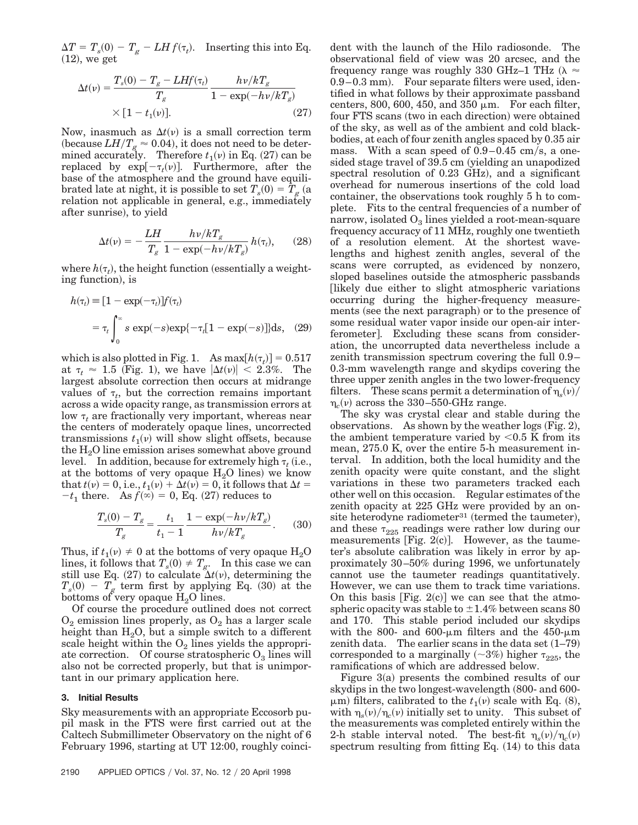$\Delta T = T_s(0) - T_g - LH f(\tau_t)$ . Inserting this into Eq.  $(12)$ , we get

$$
\Delta t(v) = \frac{T_s(0) - T_g - L H f(\tau_t)}{T_g} \frac{h v / k T_g}{1 - \exp(-h v / k T_g)}
$$
  
× [1 - t<sub>1</sub>(v)]. (27)

Now, inasmuch as  $\Delta t(v)$  is a small correction term (because  $LH/T<sub>g</sub> \approx 0.04$ ), it does not need to be determined accurately. Therefore  $t_1(v)$  in Eq.  $(27)$  can be replaced by  $exp[-\tau_t(v)]$ . Furthermore, after the base of the atmosphere and the ground have equilibrated late at night, it is possible to set  $T_s(0) = T_g$  (a relation not applicable in general, e.g., immediately after sunrise), to yield

$$
\Delta t(v) = -\frac{LH}{T_g} \frac{h v/kT_g}{1 - \exp(-h v/kT_g)} h(\tau_t), \qquad (28)
$$

where  $h(\tau_t)$ , the height function (essentially a weighting function), is

$$
h(\tau_t) = [1 - \exp(-\tau_t)] f(\tau_t)
$$
  
=  $\tau_t \int_0^\infty s \exp(-s) \exp\{-\tau_t [1 - \exp(-s)]\} ds$ , (29)

which is also plotted in Fig. 1. As  $\max[h(\tau_t)] = 0.517$ at  $\tau_t \approx 1.5$  (Fig. 1), we have  $|\Delta t(v)| < 2.3\%$ . The largest absolute correction then occurs at midrange values of  $\tau_t$ , but the correction remains important across a wide opacity range, as transmission errors at low  $\tau_t$  are fractionally very important, whereas near the centers of moderately opaque lines, uncorrected transmissions  $t_1(v)$  will show slight offsets, because the  $H<sub>2</sub>O$  line emission arises somewhat above ground level. In addition, because for extremely high  $\tau_t$  (i.e., at the bottoms of very opaque  $H<sub>2</sub>O$  lines) we know that  $t(v) = 0$ , i.e.,  $t_1(v) + \Delta t(v) = 0$ , it follows that  $\Delta t =$  $-t_1$  there. As  $f(x) = 0$ , Eq. (27) reduces to

$$
\frac{T_s(0) - T_g}{T_g} = \frac{t_1}{t_1 - 1} \frac{1 - \exp(-h\nu/kT_g)}{h\nu/kT_g}.
$$
 (30)

Thus, if  $t_1(v) \neq 0$  at the bottoms of very opaque H<sub>2</sub>O lines, it follows that  $T_s(0) \neq T_g$ . In this case we can still use Eq.  $(27)$  to calculate  $\Delta t(v)$ , determining the  $T_s(0) - T_g$  term first by applying Eq. (30) at the bottoms of very opaque  $H_2O$  lines.

Of course the procedure outlined does not correct  $O_2$  emission lines properly, as  $O_2$  has a larger scale height than  $H_2O$ , but a simple switch to a different scale height within the  $O_2$  lines yields the appropriate correction. Of course stratospheric  $O_3$  lines will also not be corrected properly, but that is unimportant in our primary application here.

#### **3. Initial Results**

Sky measurements with an appropriate Eccosorb pupil mask in the FTS were first carried out at the Caltech Submillimeter Observatory on the night of 6 February 1996, starting at UT 12:00, roughly coinci-

dent with the launch of the Hilo radiosonde. The observational field of view was 20 arcsec, and the frequency range was roughly 330 GHz–1 THz  $(\lambda \approx$  $(0.9-0.3 \text{ mm})$ . Four separate filters were used, identified in what follows by their approximate passband centers, 800, 600, 450, and 350  $\mu$ m. For each filter, four FTS scans (two in each direction) were obtained of the sky, as well as of the ambient and cold blackbodies, at each of four zenith angles spaced by 0.35 air mass. With a scan speed of  $0.9-0.45$  cm/s, a onesided stage travel of 39.5 cm (yielding an unapodized spectral resolution of  $0.23$  GHz), and a significant overhead for numerous insertions of the cold load container, the observations took roughly 5 h to complete. Fits to the central frequencies of a number of narrow, isolated  $O_3$  lines yielded a root-mean-square frequency accuracy of 11 MHz, roughly one twentieth of a resolution element. At the shortest wavelengths and highest zenith angles, several of the scans were corrupted, as evidenced by nonzero, sloped baselines outside the atmospheric passbands likely due either to slight atmospheric variations occurring during the higher-frequency measurements (see the next paragraph) or to the presence of some residual water vapor inside our open-air interferometer. Excluding these scans from consideration, the uncorrupted data nevertheless include a zenith transmission spectrum covering the full 0.9– 0.3-mm wavelength range and skydips covering the three upper zenith angles in the two lower-frequency filters. These scans permit a determination of  $\eta_s(v)$  $\eta_c(\nu)$  across the 330–550-GHz range.

The sky was crystal clear and stable during the observations. As shown by the weather  $\log s$  (Fig. 2), the ambient temperature varied by  $< 0.5$  K from its mean, 275.0 K, over the entire 5-h measurement interval. In addition, both the local humidity and the zenith opacity were quite constant, and the slight variations in these two parameters tracked each other well on this occasion. Regular estimates of the zenith opacity at 225 GHz were provided by an onsite heterodyne radiometer $31$  (termed the taumeter), and these  $\tau_{225}$  readings were rather low during our measurements [Fig.  $2(c)$ ]. However, as the taumeter's absolute calibration was likely in error by approximately 30–50% during 1996, we unfortunately cannot use the taumeter readings quantitatively. However, we can use them to track time variations. On this basis [Fig.  $2(c)$ ] we can see that the atmospheric opacity was stable to  $\pm 1.4\%$  between scans 80 and 170. This stable period included our skydips with the 800- and 600- $\mu$ m filters and the 450- $\mu$ m zenith data. The earlier scans in the data set  $(1–79)$ corresponded to a marginally  $(\sim 3\%)$  higher  $\tau_{225}$ , the ramifications of which are addressed below.

Figure  $3(a)$  presents the combined results of our skydips in the two longest-wavelength  $(800$ - and 600- $\mu$ m) filters, calibrated to the  $t_1(\nu)$  scale with Eq. (8), with  $\eta_s(\nu)/\eta_c(\nu)$  initially set to unity. This subset of the measurements was completed entirely within the 2-h stable interval noted. The best-fit  $\eta_{\rm s}(v)/\eta_{\rm c}(v)$ spectrum resulting from fitting Eq.  $(14)$  to this data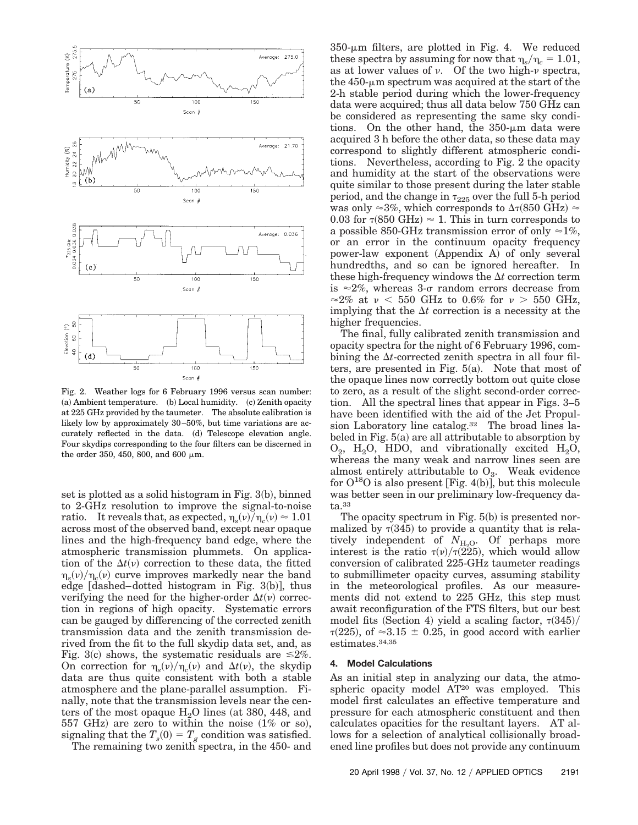

Fig. 2. Weather logs for 6 February 1996 versus scan number:  $(a)$  Ambient temperature.  $(b)$  Local humidity.  $(c)$  Zenith opacity at 225 GHz provided by the taumeter. The absolute calibration is likely low by approximately 30–50%, but time variations are accurately reflected in the data. (d) Telescope elevation angle. Four skydips corresponding to the four filters can be discerned in the order 350, 450, 800, and 600  $\mu$ m.

set is plotted as a solid histogram in Fig.  $3(b)$ , binned to 2-GHz resolution to improve the signal-to-noise ratio. It reveals that, as expected,  $\eta_s(\nu)/\eta_c(\nu) \approx 1.01$ across most of the observed band, except near opaque lines and the high-frequency band edge, where the atmospheric transmission plummets. On application of the  $\Delta t(v)$  correction to these data, the fitted  $\eta_{\rm g}(\nu)/\eta_{\rm g}(\nu)$  curve improves markedly near the band edge  $[dashed-dotted histogram in Fig. 3(b)], thus$ verifying the need for the higher-order  $\Delta t(v)$  correction in regions of high opacity. Systematic errors can be gauged by differencing of the corrected zenith transmission data and the zenith transmission derived from the fit to the full skydip data set, and, as Fig. 3(c) shows, the systematic residuals are  $\leq 2\%$ . On correction for  $\eta_s(v)/\eta_c(v)$  and  $\Delta t(v)$ , the skydip data are thus quite consistent with both a stable atmosphere and the plane-parallel assumption. Finally, note that the transmission levels near the centers of the most opaque  $H<sub>2</sub>O$  lines (at 380, 448, and 557 GHz) are zero to within the noise  $(1\% \text{ or so}),$ signaling that the  $T_s(0) = T_g$  condition was satisfied.

The remaining two zenith spectra, in the 450- and

 $350$ - $\mu$ m filters, are plotted in Fig. 4. We reduced these spectra by assuming for now that  $\eta_s/\eta_c = 1.01$ , as at lower values of  $\nu$ . Of the two high- $\nu$  spectra, the  $450$ - $\mu$ m spectrum was acquired at the start of the 2-h stable period during which the lower-frequency data were acquired; thus all data below 750 GHz can be considered as representing the same sky conditions. On the other hand, the  $350$ - $\mu$ m data were acquired 3 h before the other data, so these data may correspond to slightly different atmospheric conditions. Nevertheless, according to Fig. 2 the opacity and humidity at the start of the observations were quite similar to those present during the later stable period, and the change in  $\tau_{225}$  over the full 5-h period was only  $\approx 3\%$ , which corresponds to  $\Delta \tau(850 \text{ GHz}) \approx$ 0.03 for  $\tau$ (850 GHz)  $\approx$  1. This in turn corresponds to a possible 850-GHz transmission error of only  $\approx$ 1%, or an error in the continuum opacity frequency power-law exponent (Appendix A) of only several hundredths, and so can be ignored hereafter. In these high-frequency windows the  $\Delta t$  correction term is  $\approx 2\%$ , whereas 3-o random errors decrease from  $\approx$  2% at v < 550 GHz to 0.6% for v > 550 GHz, implying that the  $\Delta t$  correction is a necessity at the higher frequencies.

The final, fully calibrated zenith transmission and opacity spectra for the night of 6 February 1996, combining the  $\Delta t$ -corrected zenith spectra in all four filters, are presented in Fig.  $5(a)$ . Note that most of the opaque lines now correctly bottom out quite close to zero, as a result of the slight second-order correction. All the spectral lines that appear in Figs. 3–5 have been identified with the aid of the Jet Propulsion Laboratory line catalog.32 The broad lines labeled in Fig.  $5(a)$  are all attributable to absorption by  $O_2$ , H<sub>2</sub>O, HDO, and vibrationally excited H<sub>2</sub>O, whereas the many weak and narrow lines seen are almost entirely attributable to  $O_3$ . Weak evidence for  $O^{18}O$  is also present [Fig. 4(b)], but this molecule was better seen in our preliminary low-frequency data.33

The opacity spectrum in Fig.  $5(b)$  is presented normalized by  $\tau(345)$  to provide a quantity that is relatively independent of  $N_{H<sub>2</sub>O}$ . Of perhaps more interest is the ratio  $\tau(\nu)/\tau(225)$ , which would allow conversion of calibrated 225-GHz taumeter readings to submillimeter opacity curves, assuming stability in the meteorological profiles. As our measurements did not extend to 225 GHz, this step must await reconfiguration of the FTS filters, but our best model fits (Section 4) yield a scaling factor,  $\tau(345)$ /  $\tau(225)$ , of  $\approx 3.15 \pm 0.25$ , in good accord with earlier estimates.34,35

## **4. Model Calculations**

As an initial step in analyzing our data, the atmospheric opacity model AT<sup>20</sup> was employed. This model first calculates an effective temperature and pressure for each atmospheric constituent and then calculates opacities for the resultant layers. AT allows for a selection of analytical collisionally broadened line profiles but does not provide any continuum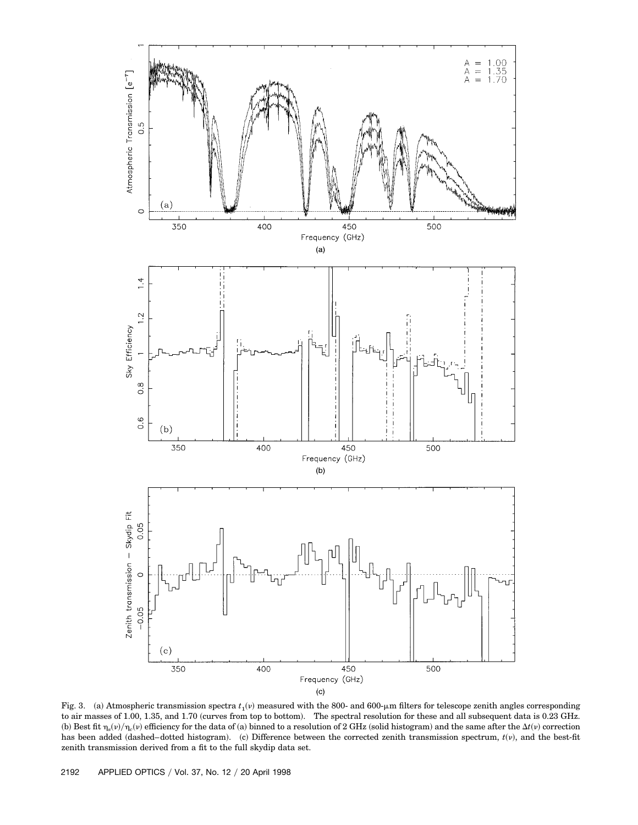

Fig. 3. (a) Atmospheric transmission spectra  $t_1(v)$  measured with the 800- and 600- $\mu$ m filters for telescope zenith angles corresponding to air masses of 1.00, 1.35, and 1.70 (curves from top to bottom). The spectral resolution for these and all subsequent data is 0.23 GHz. (b) Best fit  $\eta_s(\nu)/\eta_c(\nu)$  efficiency for the data of (a) binned to a resolution of 2 GHz (solid histogram) and the same after the  $\Delta t(\nu)$  correction has been added (dashed–dotted histogram). (c) Difference between the corrected zenith transmission spectrum,  $t(v)$ , and the best-fit zenith transmission derived from a fit to the full skydip data set.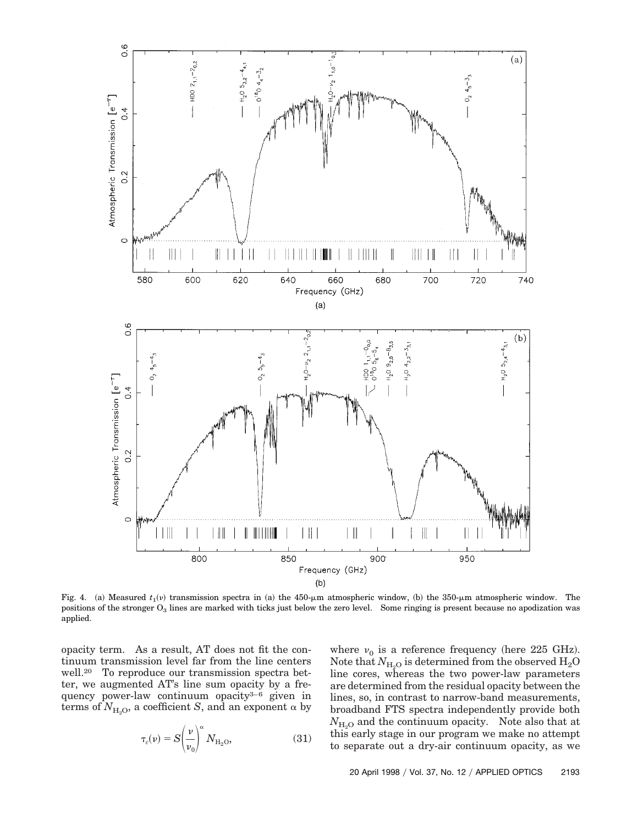

Fig. 4. (a) Measured  $t_1(v)$  transmission spectra in (a) the 450-µm atmospheric window, (b) the 350-µm atmospheric window. The positions of the stronger  $O_3$  lines are marked with ticks just below the zero level. Some ringing is present because no apodization was applied.

opacity term. As a result, AT does not fit the continuum transmission level far from the line centers well.20 To reproduce our transmission spectra better, we augmented AT's line sum opacity by a frequency power-law continuum opacity3–6 given in terms of  $N_{\rm{H}_2O}$ , a coefficient *S*, and an exponent  $\alpha$  by

$$
\tau_c(\nu) = S \left(\frac{\nu}{\nu_0}\right)^{\alpha} N_{\rm H_2O},\tag{31}
$$

where  $v_0$  is a reference frequency (here 225 GHz). Note that  $N_{\text{H}_2\text{O}}$  is determined from the observed  $\text{H}_2\text{O}$ line cores, whereas the two power-law parameters are determined from the residual opacity between the lines, so, in contrast to narrow-band measurements, broadband FTS spectra independently provide both  $N_{\text{H}_2O}$  and the continuum opacity. Note also that at this early stage in our program we make no attempt to separate out a dry-air continuum opacity, as we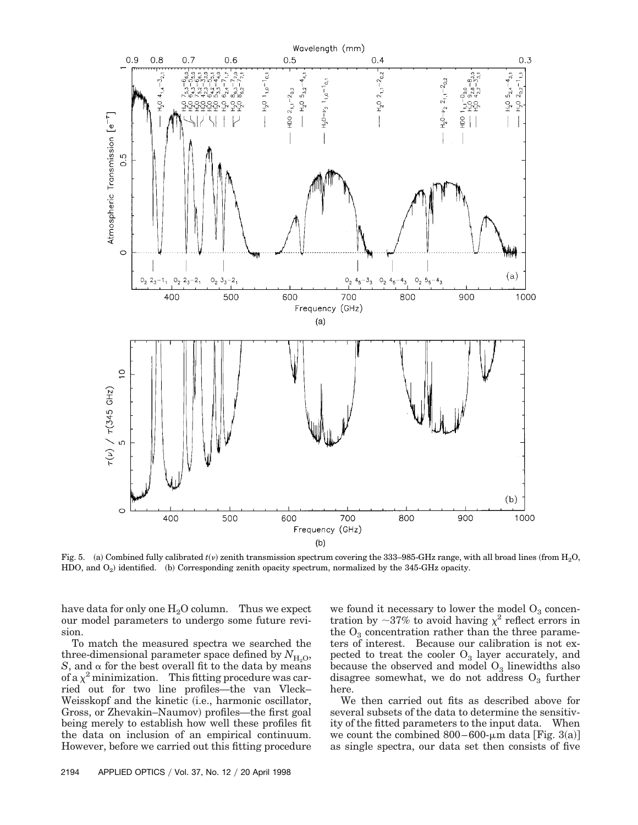

Fig. 5. (a) Combined fully calibrated  $t(v)$  zenith transmission spectrum covering the 333–985-GHz range, with all broad lines (from H<sub>2</sub>O, HDO, and  $O_2$ ) identified. (b) Corresponding zenith opacity spectrum, normalized by the 345-GHz opacity.

have data for only one  $H_2O$  column. Thus we expect our model parameters to undergo some future revision.

To match the measured spectra we searched the three-dimensional parameter space defined by  $N_{\text{H}_2\text{O}}$ , *S*, and  $\alpha$  for the best overall fit to the data by means of a  $\chi^2$  minimization. This fitting procedure was carried out for two line profiles—the van Vleck– Weisskopf and the kinetic *(i.e., harmonic oscillator,* Gross, or Zhevakin–Naumov) profiles—the first goal being merely to establish how well these profiles fit the data on inclusion of an empirical continuum. However, before we carried out this fitting procedure

we found it necessary to lower the model  $O_3$  concentration by  ${\sim}37\%$  to avoid having  $\chi^2$  reflect errors in the  $O_3$  concentration rather than the three parameters of interest. Because our calibration is not expected to treat the cooler  $O_3$  layer accurately, and because the observed and model  $O_3$  linewidths also disagree somewhat, we do not address  $O_3$  further here.

We then carried out fits as described above for several subsets of the data to determine the sensitivity of the fitted parameters to the input data. When we count the combined  $800-600$ - $\mu$ m data [Fig. 3(a)] as single spectra, our data set then consists of five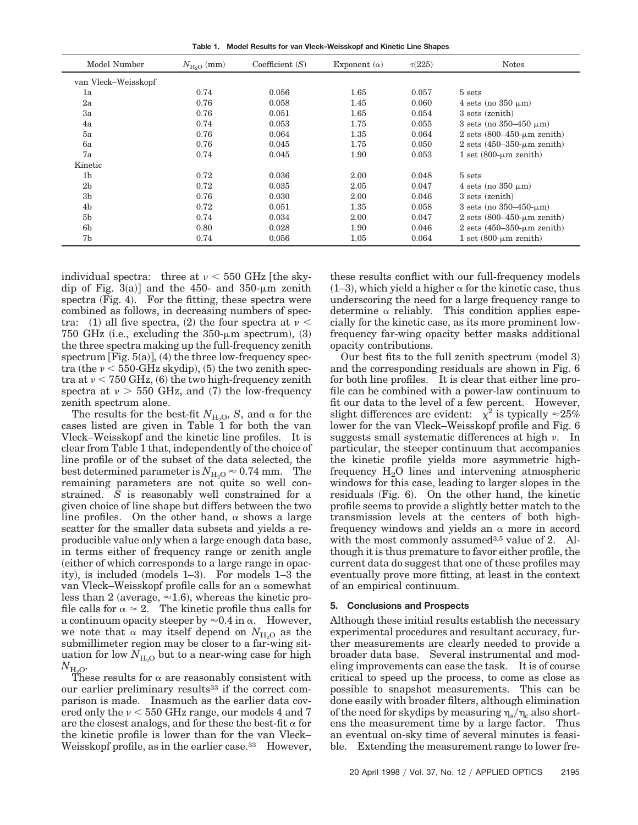**Table 1. Model Results for van Vleck–Weisskopf and Kinetic Line Shapes**

| Model Number        | $N_{\text{H}_2\text{O}}$ (mm) | Coefficient $(S)$ | Exponent $(\alpha)$ | $\tau(225)$ | <b>Notes</b>                                             |
|---------------------|-------------------------------|-------------------|---------------------|-------------|----------------------------------------------------------|
| van Vleck-Weisskopf |                               |                   |                     |             |                                                          |
| 1a                  | 0.74                          | 0.056             | 1.65                | 0.057       | 5 sets                                                   |
| 2a                  | 0.76                          | 0.058             | 1.45                | 0.060       | 4 sets (no $350 \mu m$ )                                 |
| Зa                  | 0.76                          | 0.051             | 1.65                | 0.054       | 3 sets (zenith)                                          |
| 4a                  | 0.74                          | 0.053             | 1.75                | 0.055       | 3 sets (no $350-450 \mu m$ )                             |
| 5a                  | 0.76                          | 0.064             | 1.35                | 0.064       | 2 sets $(800-450 \text{--} \mu \text{m} \text{ zenith})$ |
| 6a                  | 0.76                          | 0.045             | 1.75                | 0.050       | 2 sets $(450-350-\mu m$ zenith)                          |
| 7a                  | 0.74                          | 0.045             | 1.90                | 0.053       | 1 set $(800 \text{-} \mu \text{m} \text{ zenith})$       |
| Kinetic             |                               |                   |                     |             |                                                          |
| 1 <sub>b</sub>      | 0.72                          | 0.036             | 2.00                | 0.048       | 5 sets                                                   |
| 2 <sub>b</sub>      | 0.72                          | 0.035             | 2.05                | 0.047       | 4 sets (no $350 \mu m$ )                                 |
| 3 <sub>b</sub>      | 0.76                          | 0.030             | 2.00                | 0.046       | 3 sets (zenith)                                          |
| 4 <sub>b</sub>      | 0.72                          | 0.051             | 1.35                | 0.058       | 3 sets (no $350-450$ - $\mu$ m)                          |
| 5 <sub>b</sub>      | 0.74                          | 0.034             | 2.00                | 0.047       | 2 sets $(800-450$ -µm zenith)                            |
| 6 <sub>b</sub>      | 0.80                          | 0.028             | 1.90                | 0.046       | 2 sets $(450-350$ - $\mu$ m zenith)                      |
| 7b                  | 0.74                          | 0.056             | 1.05                | 0.064       | 1 set $(800 \text{-} \mu \text{m} \text{ zenith})$       |

individual spectra: three at  $\nu < 550$  GHz the skydip of Fig.  $3(a)$ ] and the 450- and  $350$ - $\mu$ m zenith spectra  $(Fig. 4)$ . For the fitting, these spectra were combined as follows, in decreasing numbers of spectra: (1) all five spectra, (2) the four spectra at  $\nu <$ 750 GHz (i.e., excluding the  $350$ - $\mu$ m spectrum), (3) the three spectra making up the full-frequency zenith spectrum  $[Fig. 5(a)], (4)$  the three low-frequency spectra (the  $\nu$  < 550-GHz skydip), (5) the two zenith spectra at  $\nu$  < 750 GHz, (6) the two high-frequency zenith spectra at  $v > 550$  GHz, and (7) the low-frequency zenith spectrum alone.

The results for the best-fit  $N_{\rm H_2O}$ , *S*, and  $\alpha$  for the cases listed are given in Table 1 for both the van Vleck–Weisskopf and the kinetic line profiles. It is clear from Table 1 that, independently of the choice of line profile or of the subset of the data selected, the best determined parameter is  $N_{\text{H}_2\text{O}} \approx 0.74 \text{ mm}$ . The remaining parameters are not quite so well constrained. *S* is reasonably well constrained for a given choice of line shape but differs between the two line profiles. On the other hand,  $\alpha$  shows a large scatter for the smaller data subsets and yields a reproducible value only when a large enough data base, in terms either of frequency range or zenith angle ~either of which corresponds to a large range in opacity), is included (models  $1-3$ ). For models  $1-3$  the van Vleck–Weisskopf profile calls for an  $\alpha$  somewhat less than 2 (average,  $\approx$  1.6), whereas the kinetic profile calls for  $\alpha \approx 2$ . The kinetic profile thus calls for a continuum opacity steeper by  $\approx 0.4$  in  $\alpha$ . However, we note that  $\alpha$  may itself depend on  $N_{H_0O}$  as the submillimeter region may be closer to a far-wing situation for low  $N_{\text{H}_2\text{O}}$  but to a near-wing case for high  $N_{\rm H_2O}$ .

These results for  $\alpha$  are reasonably consistent with our earlier preliminary results<sup>33</sup> if the correct comparison is made. Inasmuch as the earlier data covered only the  $\nu < 550$  GHz range, our models 4 and 7 are the closest analogs, and for these the best-fit  $\alpha$  for the kinetic profile is lower than for the van Vleck– Weisskopf profile, as in the earlier case.<sup>33</sup> However,

these results conflict with our full-frequency models  $(1-3)$ , which yield a higher  $\alpha$  for the kinetic case, thus underscoring the need for a large frequency range to determine  $\alpha$  reliably. This condition applies especially for the kinetic case, as its more prominent lowfrequency far-wing opacity better masks additional opacity contributions.

Our best fits to the full zenith spectrum  $<sub>1</sub>$  (model 3)</sub> and the corresponding residuals are shown in Fig. 6 for both line profiles. It is clear that either line profile can be combined with a power-law continuum to fit our data to the level of a few percent. However, slight differences are evident:  $\chi^2$  is typically  $\approx 25\%$ lower for the van Vleck–Weisskopf profile and Fig. 6 suggests small systematic differences at high  $\nu$ . In particular, the steeper continuum that accompanies the kinetic profile yields more asymmetric highfrequency  $H_2O$  lines and intervening atmospheric windows for this case, leading to larger slopes in the residuals  $(Fig. 6)$ . On the other hand, the kinetic profile seems to provide a slightly better match to the transmission levels at the centers of both highfrequency windows and yields an  $\alpha$  more in accord with the most commonly assumed<sup>3,5</sup> value of 2. Although it is thus premature to favor either profile, the current data do suggest that one of these profiles may eventually prove more fitting, at least in the context of an empirical continuum.

### **5. Conclusions and Prospects**

Although these initial results establish the necessary experimental procedures and resultant accuracy, further measurements are clearly needed to provide a broader data base. Several instrumental and modeling improvements can ease the task. It is of course critical to speed up the process, to come as close as possible to snapshot measurements. This can be done easily with broader filters, although elimination of the need for skydips by measuring  $\eta_s/\eta_c$  also shortens the measurement time by a large factor. Thus an eventual on-sky time of several minutes is feasible. Extending the measurement range to lower fre-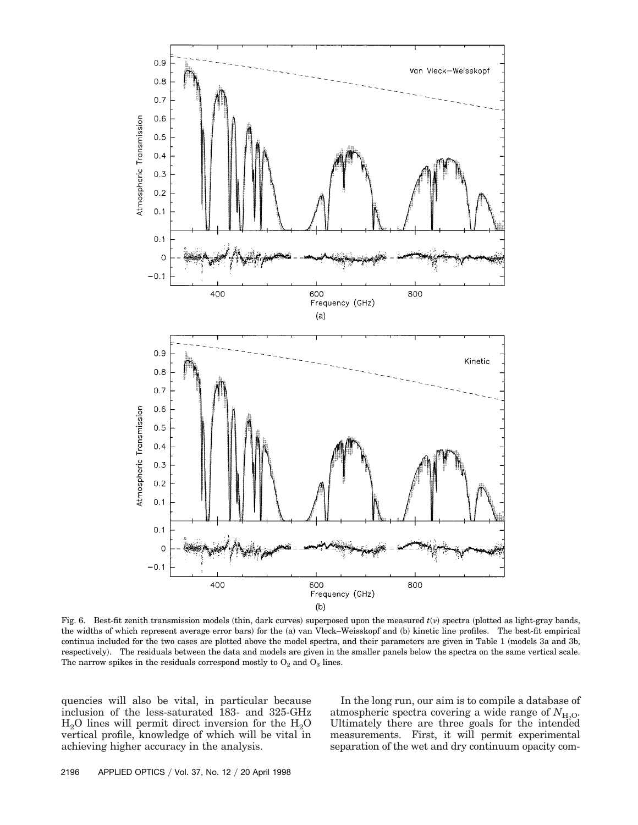

Fig. 6. Best-fit zenith transmission models (thin, dark curves) superposed upon the measured  $t(v)$  spectra (plotted as light-gray bands, the widths of which represent average error bars) for the (a) van Vleck–Weisskopf and (b) kinetic line profiles. The best-fit empirical continua included for the two cases are plotted above the model spectra, and their parameters are given in Table 1 (models 3a and 3b, respectively). The residuals between the data and models are given in the smaller panels below the spectra on the same vertical scale. The narrow spikes in the residuals correspond mostly to  $O_2$  and  $O_3$  lines.

quencies will also be vital, in particular because inclusion of the less-saturated 183- and 325-GHz  $H<sub>2</sub>O$  lines will permit direct inversion for the  $H<sub>2</sub>O$ vertical profile, knowledge of which will be vital in achieving higher accuracy in the analysis.

In the long run, our aim is to compile a database of atmospheric spectra covering a wide range of  $N_{\text{H}_2\text{O}}$ . Ultimately there are three goals for the intended measurements. First, it will permit experimental separation of the wet and dry continuum opacity com-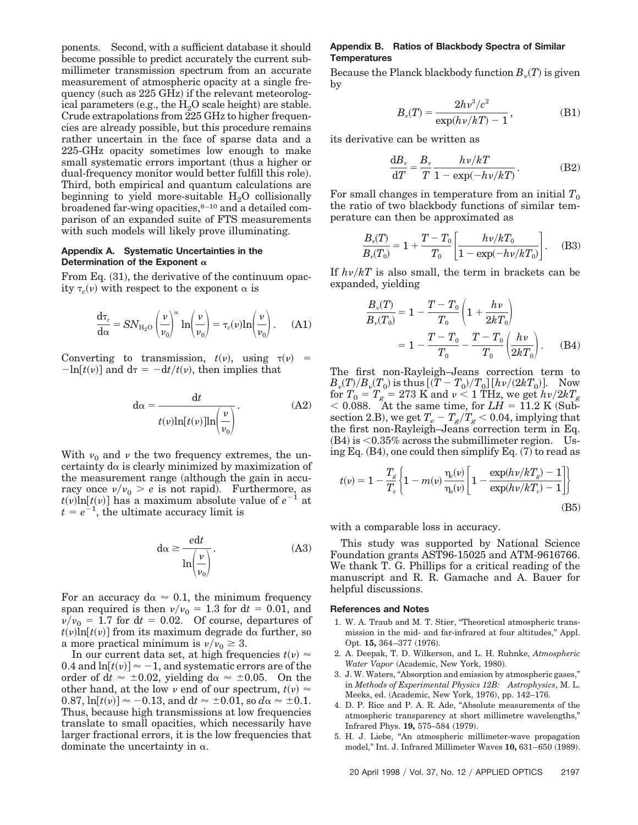ponents. Second, with a sufficient database it should become possible to predict accurately the current submillimeter transmission spectrum from an accurate measurement of atmospheric opacity at a single frequency (such as  $225$  GHz) if the relevant meteorological parameters (e.g., the  $H_2O$  scale height) are stable. Crude extrapolations from 225 GHz to higher frequencies are already possible, but this procedure remains rather uncertain in the face of sparse data and a 225-GHz opacity sometimes low enough to make small systematic errors important (thus a higher or dual-frequency monitor would better fulfill this role). Third, both empirical and quantum calculations are beginning to yield more-suitable  $H_2O$  collisionally broadened far-wing opacities,<sup>8-10</sup> and a detailed comparison of an expanded suite of FTS measurements with such models will likely prove illuminating.

## **Appendix A. Systematic Uncertainties in the** Determination of the Exponent  $\alpha$

From Eq.  $(31)$ , the derivative of the continuum opacity  $\tau_c(\nu)$  with respect to the exponent  $\alpha$  is

$$
\frac{d\tau_c}{d\alpha} = SN_{\text{H}_2\text{O}}\left(\frac{\nu}{\nu_0}\right)^{\alpha} \ln\left(\frac{\nu}{\nu_0}\right) = \tau_c(\nu)\ln\left(\frac{\nu}{\nu_0}\right). \tag{A1}
$$

Converting to transmission,  $t(v)$ , using  $\tau(v)$  =  $-\ln[t(\nu)]$  and  $d\tau = -dt/t(\nu)$ , then implies that

$$
d\alpha = \frac{dt}{t(\nu)\ln[t(\nu)]\ln(\frac{\nu}{\nu_0})}.
$$
 (A2)

With  $v_0$  and v the two frequency extremes, the uncertainty  $d\alpha$  is clearly minimized by maximization of the measurement range (although the gain in accuracy once  $v/v_0 > e$  is not rapid). Furthermore, as  $t(v)$ ln $[t(v)]$  has a maximum absolute value of  $e^{-1}$  at  $t = e^{-1}$ , the ultimate accuracy limit is

$$
d\alpha \ge \frac{edt}{\ln\left(\frac{\nu}{\nu_0}\right)}.\tag{A3}
$$

For an accuracy  $d\alpha \approx 0.1$ , the minimum frequency span required is then  $v/v_0 = 1.3$  for  $dt = 0.01$ , and  $v/v_0 = 1.7$  for dt = 0.02. Of course, departures of  $t(v)$ ln[ $t(v)$ ] from its maximum degrade d $\alpha$  further, so a more practical minimum is  $v/v_0 \geq 3$ .

In our current data set, at high frequencies  $t(v) \approx$ 0.4 and  $\ln[t(\nu)] \approx -1$ , and systematic errors are of the order of dt  $\approx \pm 0.02$ , yielding da  $\approx \pm 0.05$ . On the other hand, at the low v end of our spectrum,  $t(v) \approx$  $0.87$ ,  $\ln[t(\nu)] \approx -0.13$ , and  $dt \approx \pm 0.01$ , so  $d\alpha \approx \pm 0.1$ . Thus, because high transmissions at low frequencies translate to small opacities, which necessarily have larger fractional errors, it is the low frequencies that dominate the uncertainty in  $\alpha$ .

# **Appendix B. Ratios of Blackbody Spectra of Similar Temperatures**

Because the Planck blackbody function  $B_n(T)$  is given by

$$
B_{\nu}(T) = \frac{2h\nu^{3}/c^{2}}{\exp(h\nu/kT) - 1},
$$
 (B1)

its derivative can be written as

$$
\frac{\mathrm{d}B_v}{\mathrm{d}T} = \frac{B_v}{T} \frac{hv/kT}{1 - \exp(-hv/kT)}.\tag{B2}
$$

For small changes in temperature from an initial  $T_0$ the ratio of two blackbody functions of similar temperature can then be approximated as

$$
\frac{B_{\nu}(T)}{B_{\nu}(T_0)} = 1 + \frac{T - T_0}{T_0} \left[ \frac{h\nu/kT_0}{1 - \exp(-h\nu/kT_0)} \right].
$$
 (B3)

If  $h\nu/kT$  is also small, the term in brackets can be expanded, yielding

$$
\frac{B_{\nu}(T)}{B_{\nu}(T_0)} = 1 - \frac{T - T_0}{T_0} \left( 1 + \frac{h\nu}{2kT_0} \right)
$$

$$
= 1 - \frac{T - T_0}{T_0} - \frac{T - T_0}{T_0} \left( \frac{h\nu}{2kT_0} \right). \tag{B4}
$$

The first non-Rayleigh–Jeans correction term to  $B_{\nu}(T)/B_{\nu}(T_0)$  is thus  $[(T - T_0)/T_0][h\nu/(2kT_0)].$  Now for  $T_{0}$  =  $T_{g}$  = 273 K and  $\nu$  < 1 THz, we get  $h\nu/2kT_{g}$  $< 0.088$ . At the same time, for  $LH = 11.2$  K (Subsection 2.B), we get  $T_e - T_g/T_g < 0.04$ , implying that the first non-Rayleigh–Jeans correction term in Eq.  $(B4)$  is  $<0.35\%$  across the submillimeter region. Using Eq.  $(B4)$ , one could then simplify Eq.  $(7)$  to read as

$$
t(v) = 1 - \frac{T_g}{T_e} \left\{ 1 - m(v) \frac{\eta_c(v)}{\eta_s(v)} \left[ 1 - \frac{\exp(hv/kT_g) - 1}{\exp(hv/kT_c) - 1} \right] \right\}
$$
(B5)

with a comparable loss in accuracy.

This study was supported by National Science Foundation grants AST96-15025 and ATM-9616766. We thank T. G. Phillips for a critical reading of the manuscript and R. R. Gamache and A. Bauer for helpful discussions.

#### **References and Notes**

- 1. W. A. Traub and M. T. Stier, "Theoretical atmospheric transmission in the mid- and far-infrared at four altitudes," Appl. Opt. 15, 364-377 (1976).
- 2. A. Deepak, T. D. Wilkerson, and L. H. Ruhnke, *Atmospheric Water Vapor* (Academic, New York, 1980).
- 3. J. W. Waters, "Absorption and emission by atmospheric gases," in *Methods of Experimental Physics 12B: Astrophysics*, M. L. Meeks, ed. (Academic, New York, 1976), pp. 142–176.
- 4. D. P. Rice and P. A. R. Ade, "Absolute measurements of the atmospheric transparency at short millimetre wavelengths," Infrared Phys. **19,** 575–584 (1979).
- 5. H. J. Liebe, "An atmospheric millimeter-wave propagation model," Int. J. Infrared Millimeter Waves **10,** 631–650 (1989).